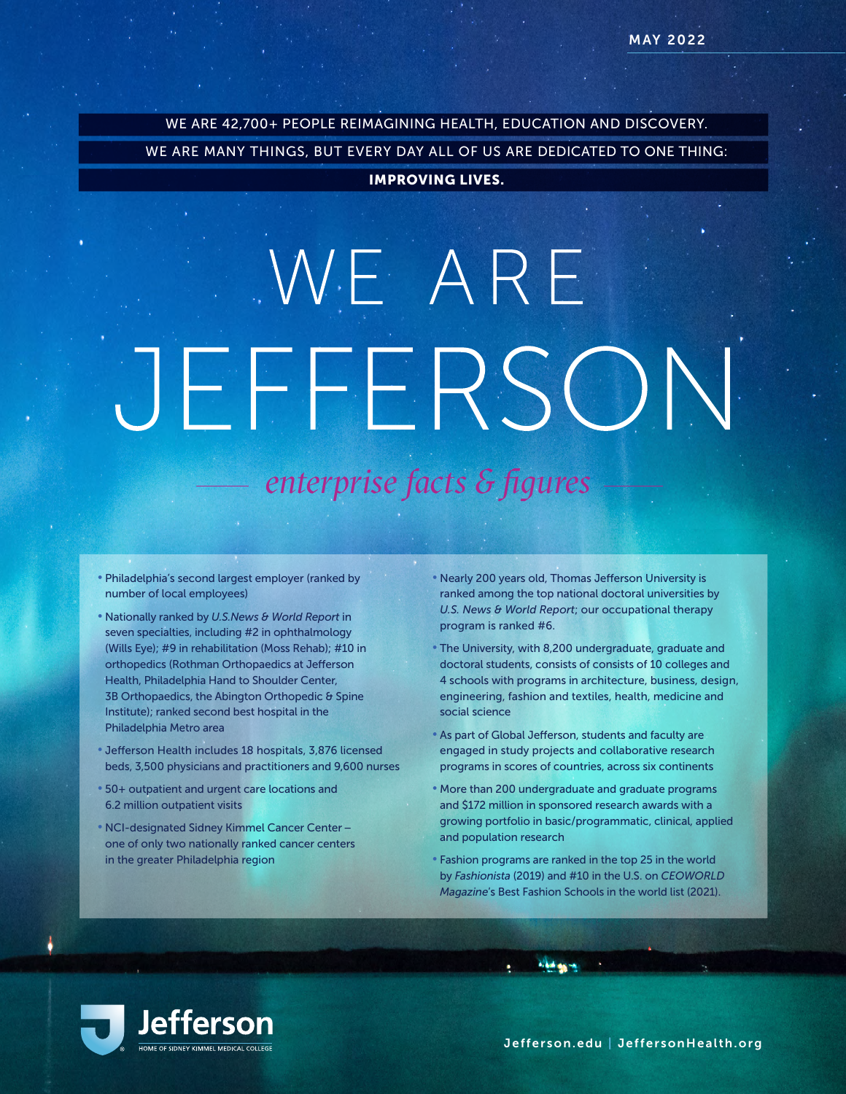WE ARE 42,700+ PEOPLE REIMAGINING HEALTH, EDUCATION AND DISCOVERY.

WE ARE MANY THINGS, BUT EVERY DAY ALL OF US ARE DEDICATED TO ONE THING:

#### IMPROVING LIVES.

# WE ARE JEFFERSON *enterprise facts & figures*

- Philadelphia's second largest employer (ranked by number of local employees)
- Nationally ranked by *U.S.News & World Report* in seven specialties, including #2 in ophthalmology (Wills Eye); #9 in rehabilitation (Moss Rehab); #10 in orthopedics (Rothman Orthopaedics at Jefferson Health, Philadelphia Hand to Shoulder Center, 3B Orthopaedics, the Abington Orthopedic & Spine Institute); ranked second best hospital in the Philadelphia Metro area
- Jefferson Health includes 18 hospitals, 3,876 licensed beds, 3,500 physicians and practitioners and 9,600 nurses
- 50+ outpatient and urgent care locations and 6.2 million outpatient visits
- NCI-designated Sidney Kimmel Cancer Center one of only two nationally ranked cancer centers in the greater Philadelphia region
- Nearly 200 years old, Thomas Jefferson University is ranked among the top national doctoral universities by *U.S. News & World Report*; our occupational therapy program is ranked #6.
- The University, with 8,200 undergraduate, graduate and doctoral students, consists of consists of 10 colleges and 4 schools with programs in architecture, business, design, engineering, fashion and textiles, health, medicine and social science
- As part of Global Jefferson, students and faculty are engaged in study projects and collaborative research programs in scores of countries, across six continents
- More than 200 undergraduate and graduate programs and \$172 million in sponsored research awards with a growing portfolio in basic/programmatic, clinical, applied and population research
- Fashion programs are ranked in the top 25 in the world by *Fashionista* (2019) and #10 in the U.S. on *CEOWORLD Magazine*'s Best Fashion Schools in the world list (2021).

**Aldre** 

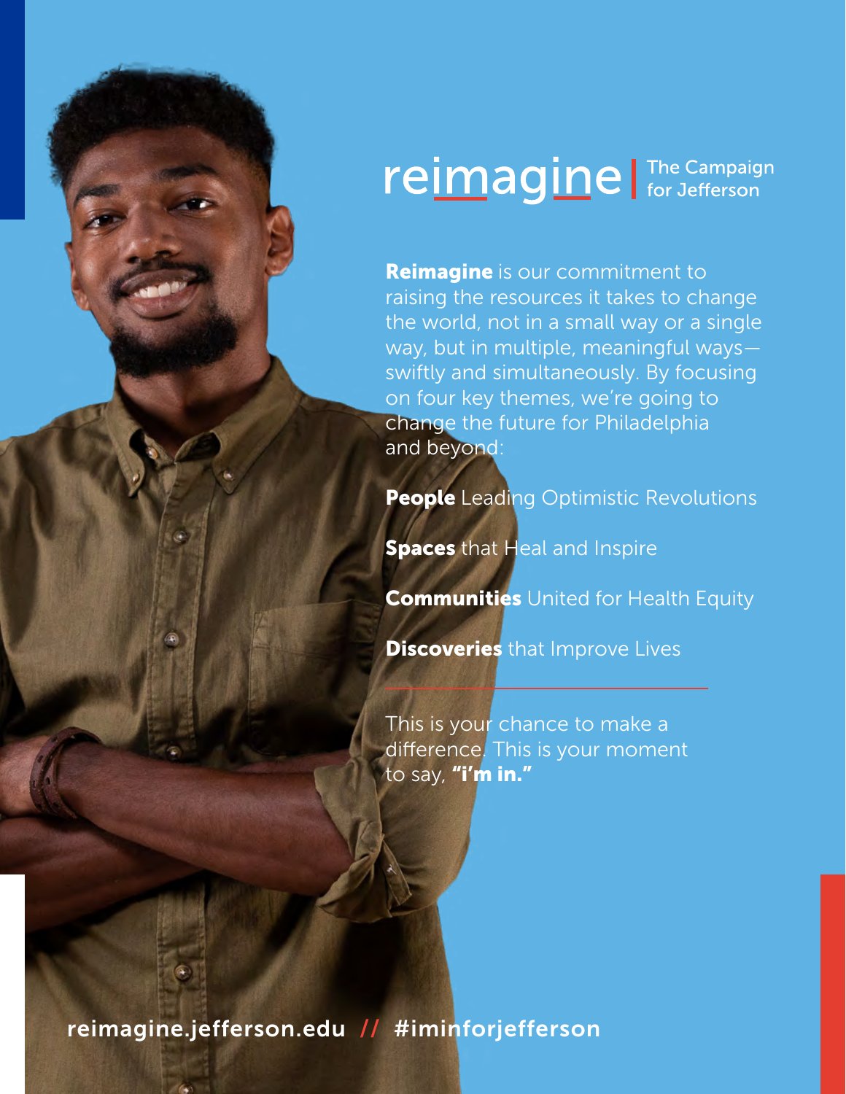## reimagine | The Campaign

**Reimagine** is our commitment to raising the resources it takes to change the world, not in a small way or a single way, but in multiple, meaningful ways swiftly and simultaneously. By focusing on four key themes, we're going to change the future for Philadelphia and beyond:

**People** Leading Optimistic Revolutions

**Spaces** that Heal and Inspire

**Communities** United for Health Equity

**Discoveries** that Improve Lives

This is your chance to make a difference. This is your moment to say, "i'm in."

[reimagine.jefferson.edu](https://giving.jefferson.edu/) // #iminforjefferson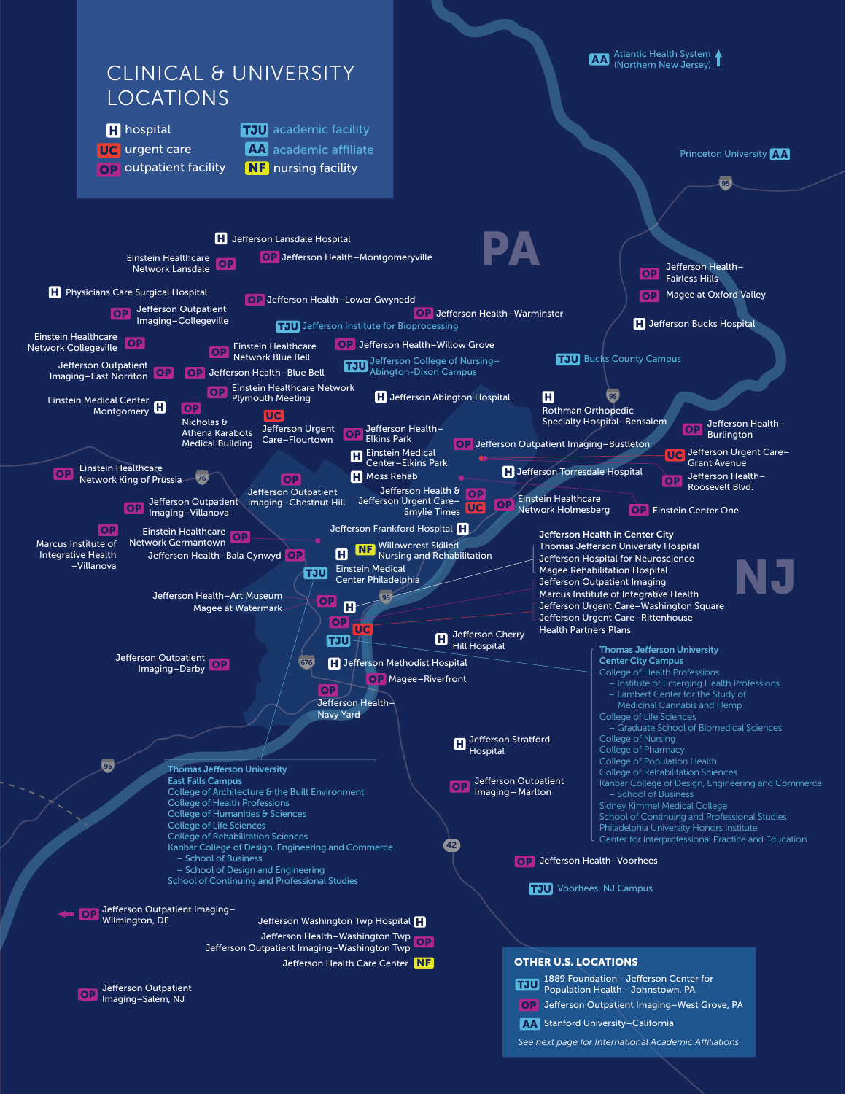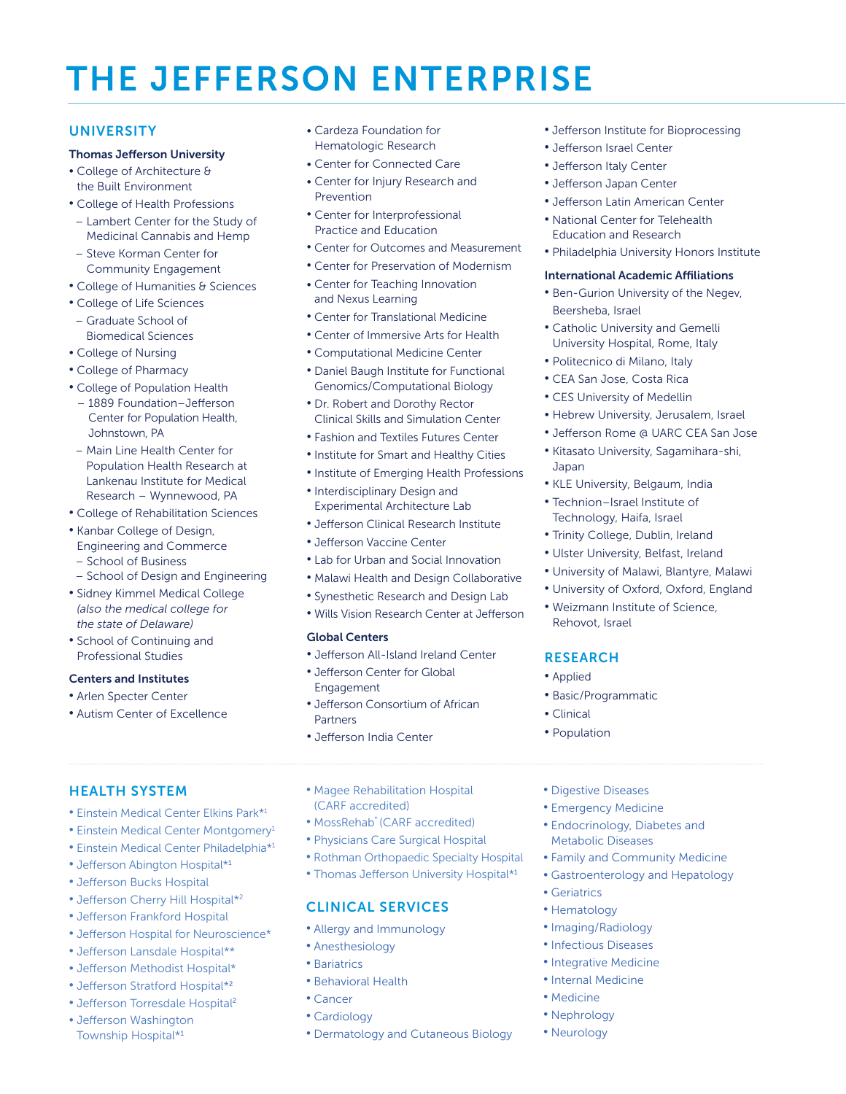## THE JEFFERSON ENTERPRISE

#### **UNIVERSITY**

#### Thomas Jefferson University

- College of Architecture & the Built Environment
- College of Health Professions
- Lambert Center for the Study of Medicinal Cannabis and Hemp
- Steve Korman Center for Community Engagement
- College of Humanities & Sciences
- College of Life Sciences
- Graduate School of Biomedical Sciences
- College of Nursing
- College of Pharmacy
- College of Population Health
- 1889 Foundation–Jefferson Center for Population Health, Johnstown, PA
- Main Line Health Center for Population Health Research at Lankenau Institute for Medical Research – Wynnewood, PA
- College of Rehabilitation Sciences
- Kanbar College of Design,
- Engineering and Commerce
- School of Business
- School of Design and Engineering
- Sidney Kimmel Medical College *(also the medical college for the state of Delaware)*
- School of Continuing and Professional Studies

#### Centers and Institutes

- Arlen Specter Center
- Autism Center of Excellence
- Cardeza Foundation for Hematologic Research
- Center for Connected Care
- Center for Injury Research and Prevention
- Center for Interprofessional Practice and Education
- Center for Outcomes and Measurement
- Center for Preservation of Modernism
- Center for Teaching Innovation and Nexus Learning
- Center for Translational Medicine
- Center of Immersive Arts for Health
- Computational Medicine Center
- Daniel Baugh Institute for Functional Genomics/Computational Biology
- Dr. Robert and Dorothy Rector Clinical Skills and Simulation Center
- Fashion and Textiles Futures Center
- Institute for Smart and Healthy Cities
- Institute of Emerging Health Professions
- Interdisciplinary Design and Experimental Architecture Lab
- Jefferson Clinical Research Institute
- Jefferson Vaccine Center
- Lab for Urban and Social Innovation
- Malawi Health and Design Collaborative
- Synesthetic Research and Design Lab
- Wills Vision Research Center at Jefferson

#### Global Centers

- Jefferson All-Island Ireland Center
- Jefferson Center for Global Engagement
- Jefferson Consortium of African Partners
- Jefferson India Center

#### • Jefferson Institute for Bioprocessing

- Jefferson Israel Center
- Jefferson Italy Center
- Jefferson Japan Center
- Jefferson Latin American Center
- National Center for Telehealth Education and Research
- Philadelphia University Honors Institute

#### International Academic Affiliations

- Ben-Gurion University of the Negev, Beersheba, Israel
- Catholic University and Gemelli University Hospital, Rome, Italy
- Politecnico di Milano, Italy
- CEA San Jose, Costa Rica
- CES University of Medellin
- Hebrew University, Jerusalem, Israel
- Jefferson Rome @ UARC CEA San Jose
- Kitasato University, Sagamihara-shi, Japan
- KLE University, Belgaum, India
- Technion–Israel Institute of Technology, Haifa, Israel
- Trinity College, Dublin, Ireland
- Ulster University, Belfast, Ireland
- University of Malawi, Blantyre, Malawi
- University of Oxford, Oxford, England
- Weizmann Institute of Science, Rehovot, Israel

• Family and Community Medicine • Gastroenterology and Hepatology

#### **RESEARCH**

- Applied
- Basic/Programmatic

• Digestive Diseases • Emergency Medicine • Endocrinology, Diabetes and Metabolic Diseases

- Clinical
- Population

• Geriatrics • Hematology • Imaging/Radiology • Infectious Diseases • Integrative Medicine • Internal Medicine • Medicine • Nephrology • Neurology

#### HEALTH SYSTEM

- Einstein Medical Center Elkins Park\*1
- Einstein Medical Center Montgomery<sup>1</sup>
- Einstein Medical Center Philadelphia\*1
- Jefferson Abington Hospital\*<sup>1</sup>
- Jefferson Bucks Hospital
- Jefferson Cherry Hill Hospital\*<sup>2</sup>
- Jefferson Frankford Hospital
- Jefferson Hospital for Neuroscience\*
- Jefferson Lansdale Hospital\*\*
- Jefferson Methodist Hospital\*
- Jefferson Stratford Hospital\*<sup>2</sup>
- Jefferson Torresdale Hospital<sup>2</sup>
- Jefferson Washington
- Township Hospital\*<sup>1</sup>
- Magee Rehabilitation Hospital (CARF accredited)
- MossRehab\* (CARF accredited)
- Physicians Care Surgical Hospital

CLINICAL SERVICES • Allergy and Immunology

• Anesthesiology • Bariatrics

• Behavioral Health

• Cancer • Cardiology

- Rothman Orthopaedic Specialty Hospital
- Thomas Jefferson University Hospital\*<sup>1</sup>

• Dermatology and Cutaneous Biology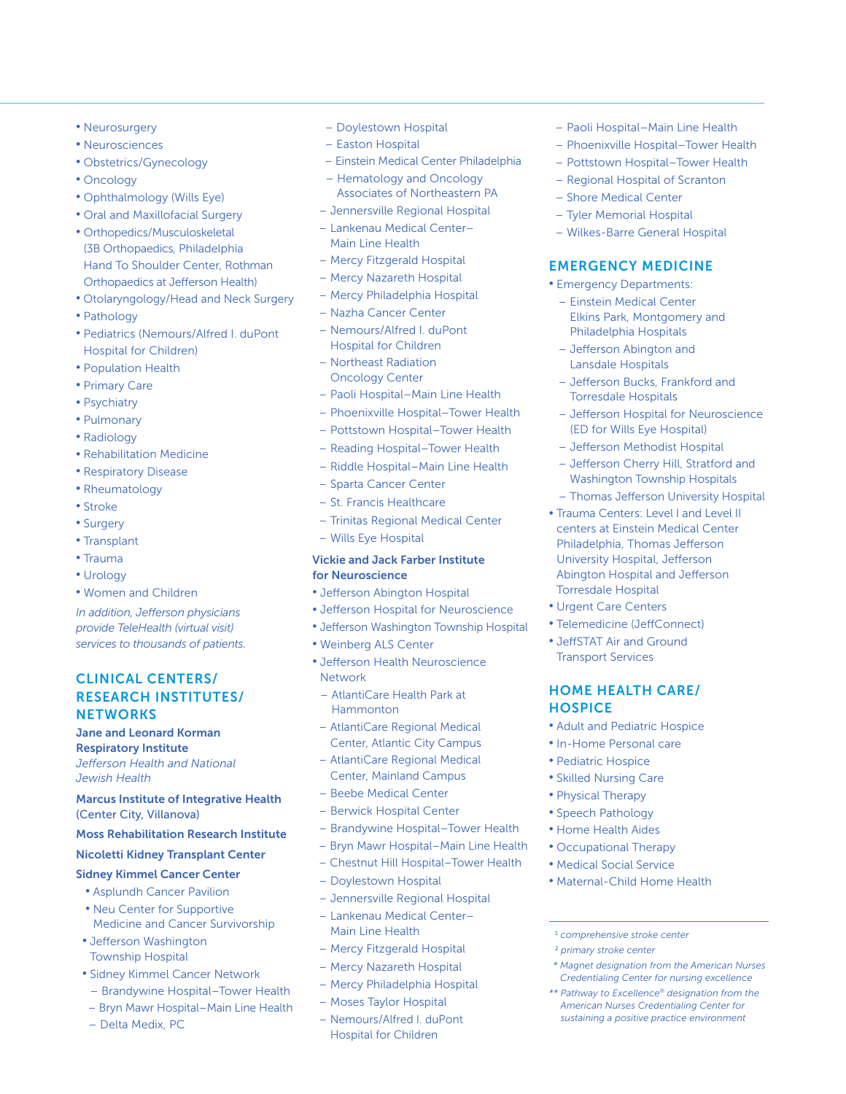- Neurosurgery
- Neurosciences
- Obstetrics/Gynecology
- Oncology
- Ophthalmology (Wills Eye)
- Oral and Maxillofacial Surgery
- Orthopedics/Musculoskeletal (3B Orthopaedics, Philadelphia Hand To Shoulder Center, Rothman Orthopaedics at Jefferson Health)
- Otolaryngology/Head and Neck Surgery
- Pathology
- Pediatrics (Nemours/Alfred I. duPont Hospital for Children)
- Population Health
- Primary Care
- Psychiatry
- Pulmonary
- Radiology
- Rehabilitation Medicine
- Respiratory Disease
- Rheumatology
- Stroke
- Surgery
- Transplant
- Trauma
- Urology
- Women and Children

*In addition, Jefferson physicians provide TeleHealth (virtual visit) services to thousands of patients.*

#### CLINICAL CENTERS/ RESEARCH INSTITUTES/ **NETWORKS**

Jane and Leonard Korman

Respiratory Institute *Jefferson Health and National Jewish Health* 

#### Marcus Institute of Integrative Health (Center City, Villanova)

#### Moss Rehabilitation Research Institute

#### Nicoletti Kidney Transplant Center

#### Sidney Kimmel Cancer Center

- Asplundh Cancer Pavilion • Neu Center for Supportive
- Medicine and Cancer Survivorship • Jefferson Washington
- Township Hospital
- Sidney Kimmel Cancer Network
- Brandywine Hospital–Tower Health
- Bryn Mawr Hospital–Main Line Health
- Delta Medix, PC
- Doylestown Hospital
- Easton Hospital
- Einstein Medical Center Philadelphia
- Hematology and Oncology Associates of Northeastern PA
- Jennersville Regional Hospital
- Lankenau Medical Center– Main Line Health
- Mercy Fitzgerald Hospital
- Mercy Nazareth Hospital
- Mercy Philadelphia Hospital
- Nazha Cancer Center
- Nemours/Alfred I. duPont Hospital for Children
- Northeast Radiation Oncology Center
- Paoli Hospital–Main Line Health
- Phoenixville Hospital–Tower Health
- Pottstown Hospital–Tower Health
- Reading Hospital–Tower Health
- Riddle Hospital–Main Line Health
- Sparta Cancer Center
- St. Francis Healthcare
- Trinitas Regional Medical Center
- Wills Eye Hospital

#### Vickie and Jack Farber Institute for Neuroscience

- Jefferson Abington Hospital
- Jefferson Hospital for Neuroscience
- Jefferson Washington Township Hospital
- Weinberg ALS Center
- Jefferson Health Neuroscience Network
- AtlantiCare Health Park at Hammonton
- AtlantiCare Regional Medical Center, Atlantic City Campus
- AtlantiCare Regional Medical Center, Mainland Campus
- Beebe Medical Center
- Berwick Hospital Center
- Brandywine Hospital–Tower Health
- Bryn Mawr Hospital–Main Line Health
- Chestnut Hill Hospital–Tower Health
- Doylestown Hospital
- Jennersville Regional Hospital
- Lankenau Medical Center– Main Line Health
- Mercy Fitzgerald Hospital
- Mercy Nazareth Hospital
- Mercy Philadelphia Hospital
- Moses Taylor Hospital
- Nemours/Alfred I. duPont Hospital for Children
- Paoli Hospital–Main Line Health
- Phoenixville Hospital–Tower Health
- Pottstown Hospital–Tower Health
- Regional Hospital of Scranton
- Shore Medical Center
- Tyler Memorial Hospital
- Wilkes-Barre General Hospital

#### EMERGENCY MEDICINE

- Emergency Departments:
- Einstein Medical Center Elkins Park, Montgomery and Philadelphia Hospitals
- Jefferson Abington and Lansdale Hospitals
- Jefferson Bucks, Frankford and Torresdale Hospitals
- Jefferson Hospital for Neuroscience (ED for Wills Eye Hospital)
- Jefferson Methodist Hospital
- Jefferson Cherry Hill, Stratford and Washington Township Hospitals
- Thomas Jefferson University Hospital
- Trauma Centers: Level I and Level II centers at Einstein Medical Center Philadelphia, Thomas Jefferson University Hospital, Jefferson Abington Hospital and Jefferson Torresdale Hospital
- Urgent Care Centers

**HOSPICE** 

• Telemedicine (JeffConnect) • JeffSTAT Air and Ground Transport Services

HOME HEALTH CARE/

• Adult and Pediatric Hospice • In-Home Personal care • Pediatric Hospice • Skilled Nursing Care • Physical Therapy • Speech Pathology • Home Health Aides • Occupational Therapy • Medical Social Service • Maternal-Child Home Health

1  *comprehensive stroke center* <sup>2</sup> *primary stroke center*

*\* Magnet designation from the American Nurses Credentialing Center for nursing excellence \*\* Pathway to Excellence® designation from the American Nurses Credentialing Center for sustaining a positive practice environment*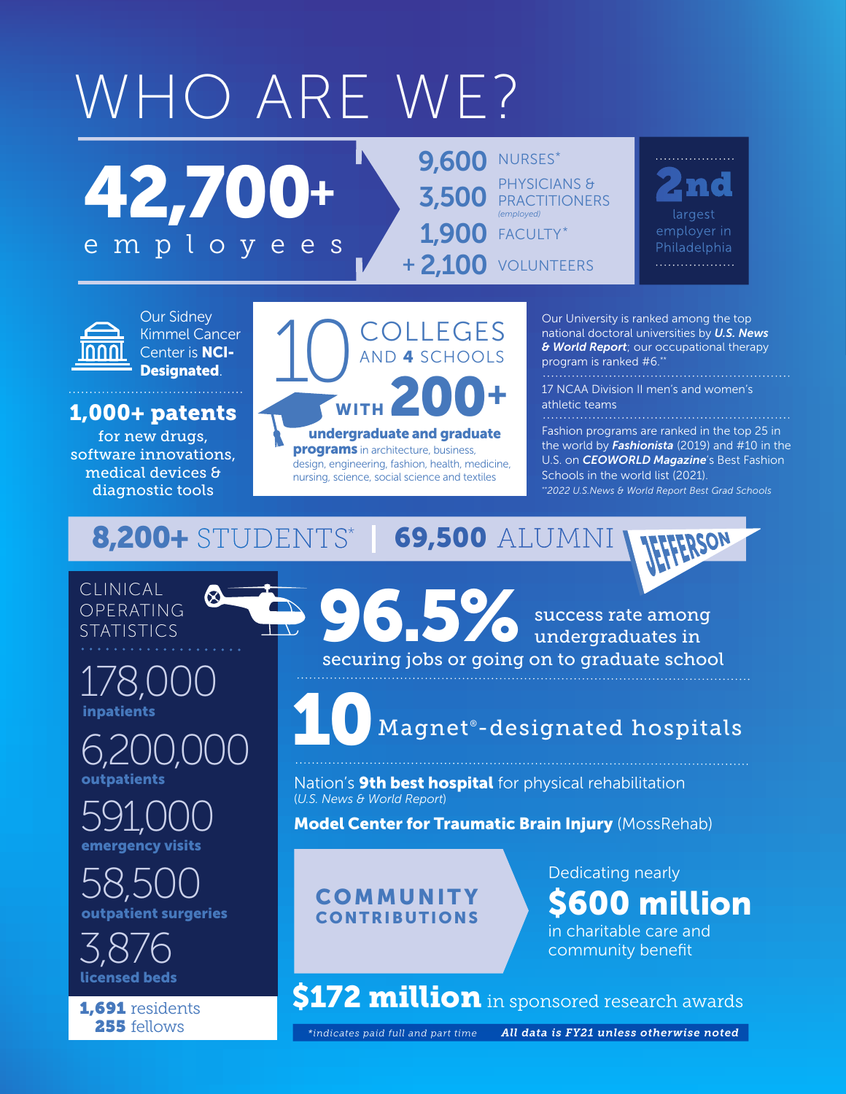## WHO ARE WE?

TEN.

3,500 PRACTITIONERS 1,900 FACULTY\* **+ 2,100** VOLUNTEERS PHYSICIANS & *(employed)* **9.600 NURSES\*** 

largest employer in Philadelphia . . . . . . . . . . . . . . . . . .



Our Sidney Kimmel Cancer Center is NCI-Designated.

42,700+

employees

### 1,000+ patents

for new drugs, software innovations, medical devices & diagnostic tools



programs in architecture, business, design, engineering, fashion, health, medicine, nursing, science, social science and textiles

Our University is ranked among the top national doctoral universities by *U.S. News & World Report*; our occupational therapy program is ranked #6.\*

17 NCAA Division II men's and women's athletic teams

. . . . . . . . . . . . . . . . . . .

success rate among undergraduates in

Fashion programs are ranked in the top 25 in the world by *Fashionista* (2019) and #10 in the U.S. on *CEOWORLD Magazine*'s Best Fashion Schools in the world list (2021). *\*\*2022 U.S.News & World Report Best Grad Schools*

### 8,200+ STUDENTS\* | 69,500 ALUMNI

#### CLINICAL OPERATING **STATISTICS**

inpatients 178,000

outpatients 6,200,000

gency visits 591,000

t surgeries 58,500

licensed beds 3,876

255 fellows

securing jobs or going on to graduate school 96.5%  $10$  Magnet® -designated hospitals

Nation's **9th best hospital** for physical rehabilitation (*U.S. News & World Report*)

**Model Center for Traumatic Brain Injury (MossRehab)** 

#### **COMMUNITY** CONTRIBUTIONS

Dedicating nearly \$600 million

in charitable care and community benefit

1,691 residents **S172 million** in sponsored research awards

*\*indicates paid full and part time All data is FY21 unless otherwise noted*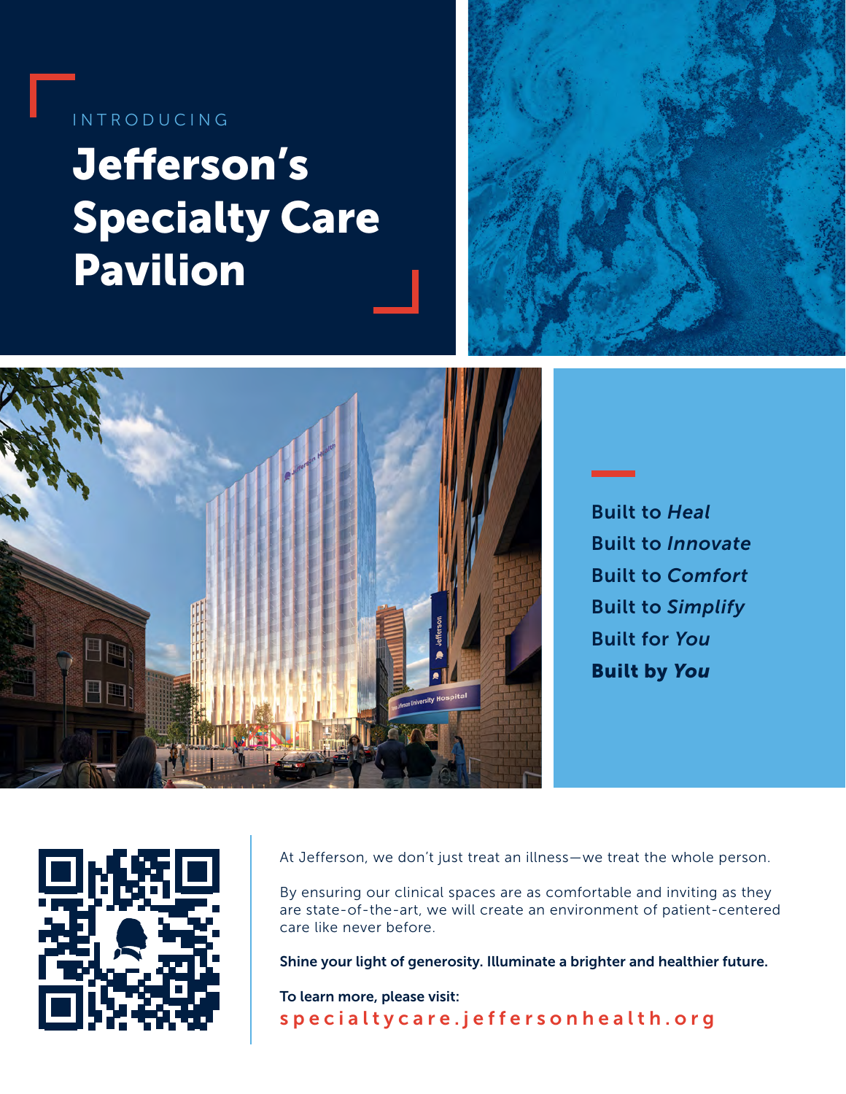### INTRODUCING

## Jefferson's Specialty Care Pavilion





Built to *Heal* Built to *Innovate* Built to *Comfort* Built to *Simplify* Built for *You* Built by *You*



At Jefferson, we don't just treat an illness—we treat the whole person.

By ensuring our clinical spaces are as comfortable and inviting as they are state-of-the-art, we will create an environment of patient-centered care like never before.

Shine your light of generosity. Illuminate a brighter and healthier future.

To learn more, please visit: [specialtycare.jeffersonhealth.org](https://specialtycare.jeffersonhealth.org/)